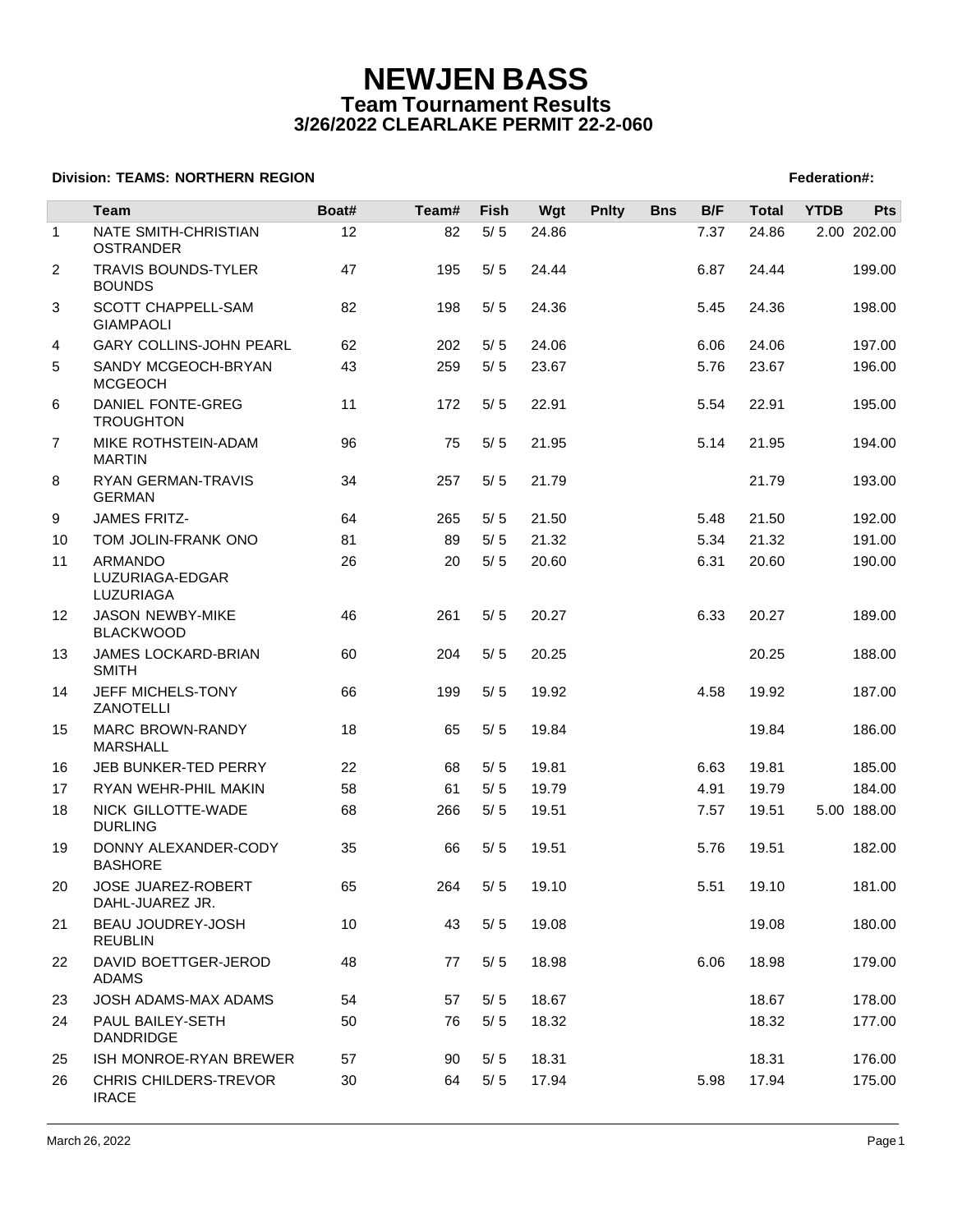|                | Team                                          | Boat# | Team# | Fish  | Wgt   | <b>Pnlty</b> | <b>Bns</b> | B/F  | <b>Total</b> | <b>YTDB</b> | <b>Pts</b>  |
|----------------|-----------------------------------------------|-------|-------|-------|-------|--------------|------------|------|--------------|-------------|-------------|
| $\mathbf{1}$   | NATE SMITH-CHRISTIAN<br><b>OSTRANDER</b>      | 12    | 82    | $5/5$ | 24.86 |              |            | 7.37 | 24.86        |             | 2.00 202.00 |
| $\overline{2}$ | <b>TRAVIS BOUNDS-TYLER</b><br><b>BOUNDS</b>   | 47    | 195   | 5/5   | 24.44 |              |            | 6.87 | 24.44        |             | 199.00      |
| 3              | <b>SCOTT CHAPPELL-SAM</b><br><b>GIAMPAOLI</b> | 82    | 198   | 5/5   | 24.36 |              |            | 5.45 | 24.36        |             | 198.00      |
| 4              | <b>GARY COLLINS-JOHN PEARL</b>                | 62    | 202   | 5/5   | 24.06 |              |            | 6.06 | 24.06        |             | 197.00      |
| 5              | SANDY MCGEOCH-BRYAN<br><b>MCGEOCH</b>         | 43    | 259   | 5/5   | 23.67 |              |            | 5.76 | 23.67        |             | 196.00      |
| 6              | DANIEL FONTE-GREG<br><b>TROUGHTON</b>         | 11    | 172   | 5/5   | 22.91 |              |            | 5.54 | 22.91        |             | 195.00      |
| 7              | MIKE ROTHSTEIN-ADAM<br><b>MARTIN</b>          | 96    | 75    | 5/5   | 21.95 |              |            | 5.14 | 21.95        |             | 194.00      |
| 8              | RYAN GERMAN-TRAVIS<br><b>GERMAN</b>           | 34    | 257   | 5/5   | 21.79 |              |            |      | 21.79        |             | 193.00      |
| 9              | <b>JAMES FRITZ-</b>                           | 64    | 265   | 5/5   | 21.50 |              |            | 5.48 | 21.50        |             | 192.00      |
| 10             | TOM JOLIN-FRANK ONO                           | 81    | 89    | 5/5   | 21.32 |              |            | 5.34 | 21.32        |             | 191.00      |
| 11             | ARMANDO<br>LUZURIAGA-EDGAR<br>LUZURIAGA       | 26    | 20    | 5/5   | 20.60 |              |            | 6.31 | 20.60        |             | 190.00      |
| 12             | <b>JASON NEWBY-MIKE</b><br><b>BLACKWOOD</b>   | 46    | 261   | 5/5   | 20.27 |              |            | 6.33 | 20.27        |             | 189.00      |
| 13             | JAMES LOCKARD-BRIAN<br><b>SMITH</b>           | 60    | 204   | 5/5   | 20.25 |              |            |      | 20.25        |             | 188.00      |
| 14             | JEFF MICHELS-TONY<br>ZANOTELLI                | 66    | 199   | 5/5   | 19.92 |              |            | 4.58 | 19.92        |             | 187.00      |
| 15             | <b>MARC BROWN-RANDY</b><br><b>MARSHALL</b>    | 18    | 65    | 5/5   | 19.84 |              |            |      | 19.84        |             | 186.00      |
| 16             | JEB BUNKER-TED PERRY                          | 22    | 68    | 5/5   | 19.81 |              |            | 6.63 | 19.81        |             | 185.00      |
| 17             | RYAN WEHR-PHIL MAKIN                          | 58    | 61    | 5/5   | 19.79 |              |            | 4.91 | 19.79        |             | 184.00      |
| 18             | NICK GILLOTTE-WADE<br><b>DURLING</b>          | 68    | 266   | 5/5   | 19.51 |              |            | 7.57 | 19.51        |             | 5.00 188.00 |
| 19             | DONNY ALEXANDER-CODY<br><b>BASHORE</b>        | 35    | 66    | 5/5   | 19.51 |              |            | 5.76 | 19.51        |             | 182.00      |
| 20             | <b>JOSE JUAREZ-ROBERT</b><br>DAHL-JUAREZ JR.  | 65    | 264   | 5/5   | 19.10 |              |            | 5.51 | 19.10        |             | 181.00      |
| 21             | BEAU JOUDREY-JOSH<br><b>REUBLIN</b>           | 10    | 43    | $5/5$ | 19.08 |              |            |      | 19.08        |             | 180.00      |
| 22             | DAVID BOETTGER-JEROD<br><b>ADAMS</b>          | 48    | 77    | 5/5   | 18.98 |              |            | 6.06 | 18.98        |             | 179.00      |
| 23             | JOSH ADAMS-MAX ADAMS                          | 54    | 57    | 5/5   | 18.67 |              |            |      | 18.67        |             | 178.00      |
| 24             | PAUL BAILEY-SETH<br><b>DANDRIDGE</b>          | 50    | 76    | 5/5   | 18.32 |              |            |      | 18.32        |             | 177.00      |
| 25             | ISH MONROE-RYAN BREWER                        | 57    | 90    | 5/5   | 18.31 |              |            |      | 18.31        |             | 176.00      |
| 26             | CHRIS CHILDERS-TREVOR<br><b>IRACE</b>         | 30    | 64    | 5/5   | 17.94 |              |            | 5.98 | 17.94        |             | 175.00      |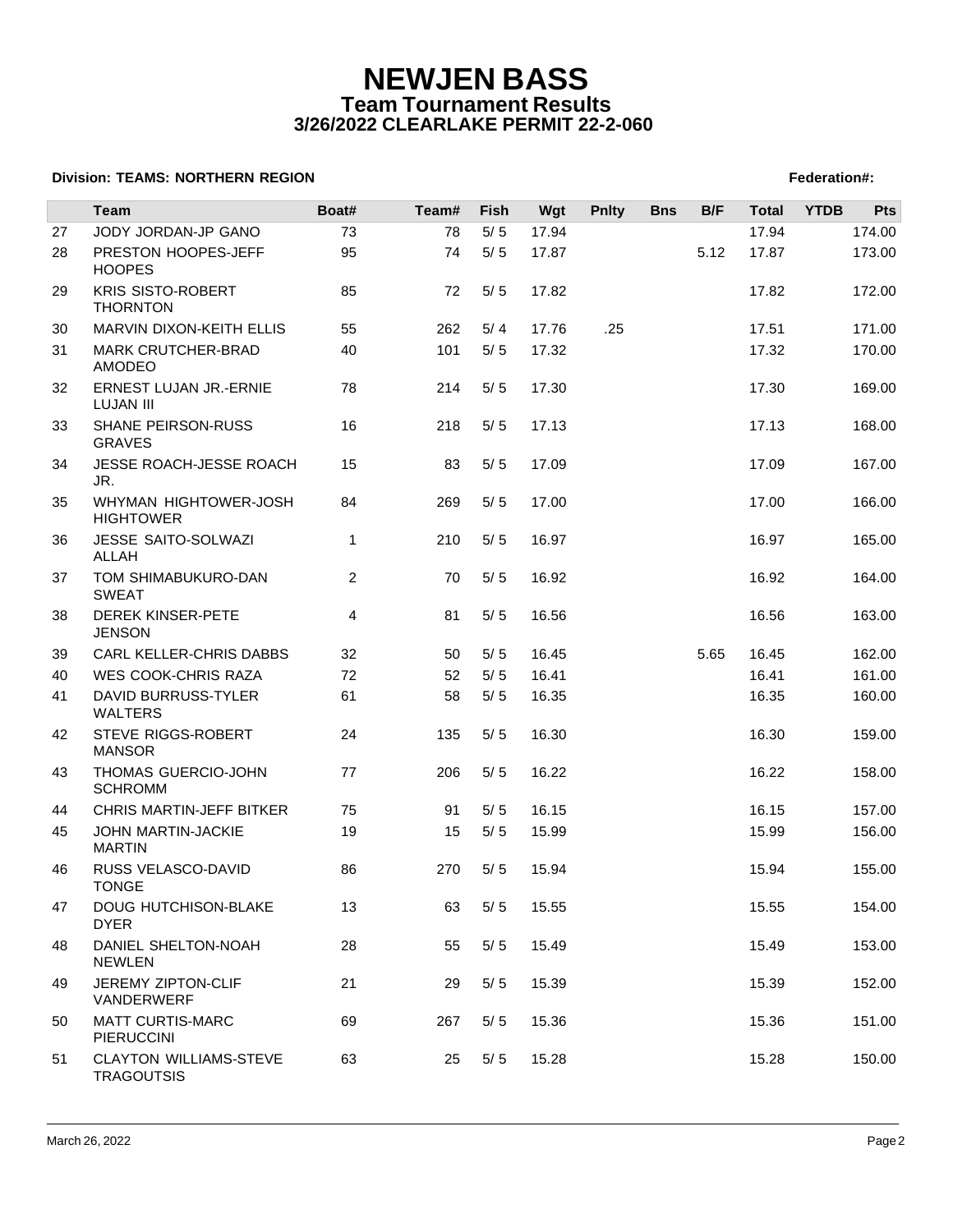|    | <b>Team</b>                                        | Boat#          | Team# | Fish  | Wgt   | <b>Pnlty</b> | <b>Bns</b> | B/F  | <b>Total</b> | <b>YTDB</b> | <b>Pts</b> |
|----|----------------------------------------------------|----------------|-------|-------|-------|--------------|------------|------|--------------|-------------|------------|
| 27 | JODY JORDAN-JP GANO                                | 73             | 78    | $5/5$ | 17.94 |              |            |      | 17.94        |             | 174.00     |
| 28 | PRESTON HOOPES-JEFF<br><b>HOOPES</b>               | 95             | 74    | $5/5$ | 17.87 |              |            | 5.12 | 17.87        |             | 173.00     |
| 29 | <b>KRIS SISTO-ROBERT</b><br><b>THORNTON</b>        | 85             | 72    | 5/5   | 17.82 |              |            |      | 17.82        |             | 172.00     |
| 30 | MARVIN DIXON-KEITH ELLIS                           | 55             | 262   | 5/4   | 17.76 | .25          |            |      | 17.51        |             | 171.00     |
| 31 | MARK CRUTCHER-BRAD<br><b>AMODEO</b>                | 40             | 101   | $5/5$ | 17.32 |              |            |      | 17.32        |             | 170.00     |
| 32 | ERNEST LUJAN JR.-ERNIE<br><b>LUJAN III</b>         | 78             | 214   | $5/5$ | 17.30 |              |            |      | 17.30        |             | 169.00     |
| 33 | SHANE PEIRSON-RUSS<br><b>GRAVES</b>                | 16             | 218   | 5/5   | 17.13 |              |            |      | 17.13        |             | 168.00     |
| 34 | JESSE ROACH-JESSE ROACH<br>JR.                     | 15             | 83    | 5/5   | 17.09 |              |            |      | 17.09        |             | 167.00     |
| 35 | WHYMAN HIGHTOWER-JOSH<br><b>HIGHTOWER</b>          | 84             | 269   | $5/5$ | 17.00 |              |            |      | 17.00        |             | 166.00     |
| 36 | JESSE SAITO-SOLWAZI<br>ALLAH                       | 1              | 210   | 5/5   | 16.97 |              |            |      | 16.97        |             | 165.00     |
| 37 | TOM SHIMABUKURO-DAN<br><b>SWEAT</b>                | $\overline{2}$ | 70    | 5/5   | 16.92 |              |            |      | 16.92        |             | 164.00     |
| 38 | DEREK KINSER-PETE<br><b>JENSON</b>                 | 4              | 81    | 5/5   | 16.56 |              |            |      | 16.56        |             | 163.00     |
| 39 | CARL KELLER-CHRIS DABBS                            | 32             | 50    | 5/5   | 16.45 |              |            | 5.65 | 16.45        |             | 162.00     |
| 40 | <b>WES COOK-CHRIS RAZA</b>                         | 72             | 52    | 5/5   | 16.41 |              |            |      | 16.41        |             | 161.00     |
| 41 | DAVID BURRUSS-TYLER<br><b>WALTERS</b>              | 61             | 58    | 5/5   | 16.35 |              |            |      | 16.35        |             | 160.00     |
| 42 | STEVE RIGGS-ROBERT<br><b>MANSOR</b>                | 24             | 135   | 5/5   | 16.30 |              |            |      | 16.30        |             | 159.00     |
| 43 | THOMAS GUERCIO-JOHN<br><b>SCHROMM</b>              | 77             | 206   | 5/5   | 16.22 |              |            |      | 16.22        |             | 158.00     |
| 44 | <b>CHRIS MARTIN-JEFF BITKER</b>                    | 75             | 91    | 5/5   | 16.15 |              |            |      | 16.15        |             | 157.00     |
| 45 | JOHN MARTIN-JACKIE<br><b>MARTIN</b>                | 19             | 15    | 5/5   | 15.99 |              |            |      | 15.99        |             | 156.00     |
| 46 | RUSS VELASCO-DAVID<br><b>TONGE</b>                 | 86             | 270   | 5/5   | 15.94 |              |            |      | 15.94        |             | 155.00     |
| 47 | DOUG HUTCHISON-BLAKE<br><b>DYER</b>                | 13             | 63    | 5/5   | 15.55 |              |            |      | 15.55        |             | 154.00     |
| 48 | DANIEL SHELTON-NOAH<br><b>NEWLEN</b>               | 28             | 55    | 5/5   | 15.49 |              |            |      | 15.49        |             | 153.00     |
| 49 | JEREMY ZIPTON-CLIF<br>VANDERWERF                   | 21             | 29    | 5/5   | 15.39 |              |            |      | 15.39        |             | 152.00     |
| 50 | <b>MATT CURTIS-MARC</b><br><b>PIERUCCINI</b>       | 69             | 267   | 5/5   | 15.36 |              |            |      | 15.36        |             | 151.00     |
| 51 | <b>CLAYTON WILLIAMS-STEVE</b><br><b>TRAGOUTSIS</b> | 63             | 25    | 5/5   | 15.28 |              |            |      | 15.28        |             | 150.00     |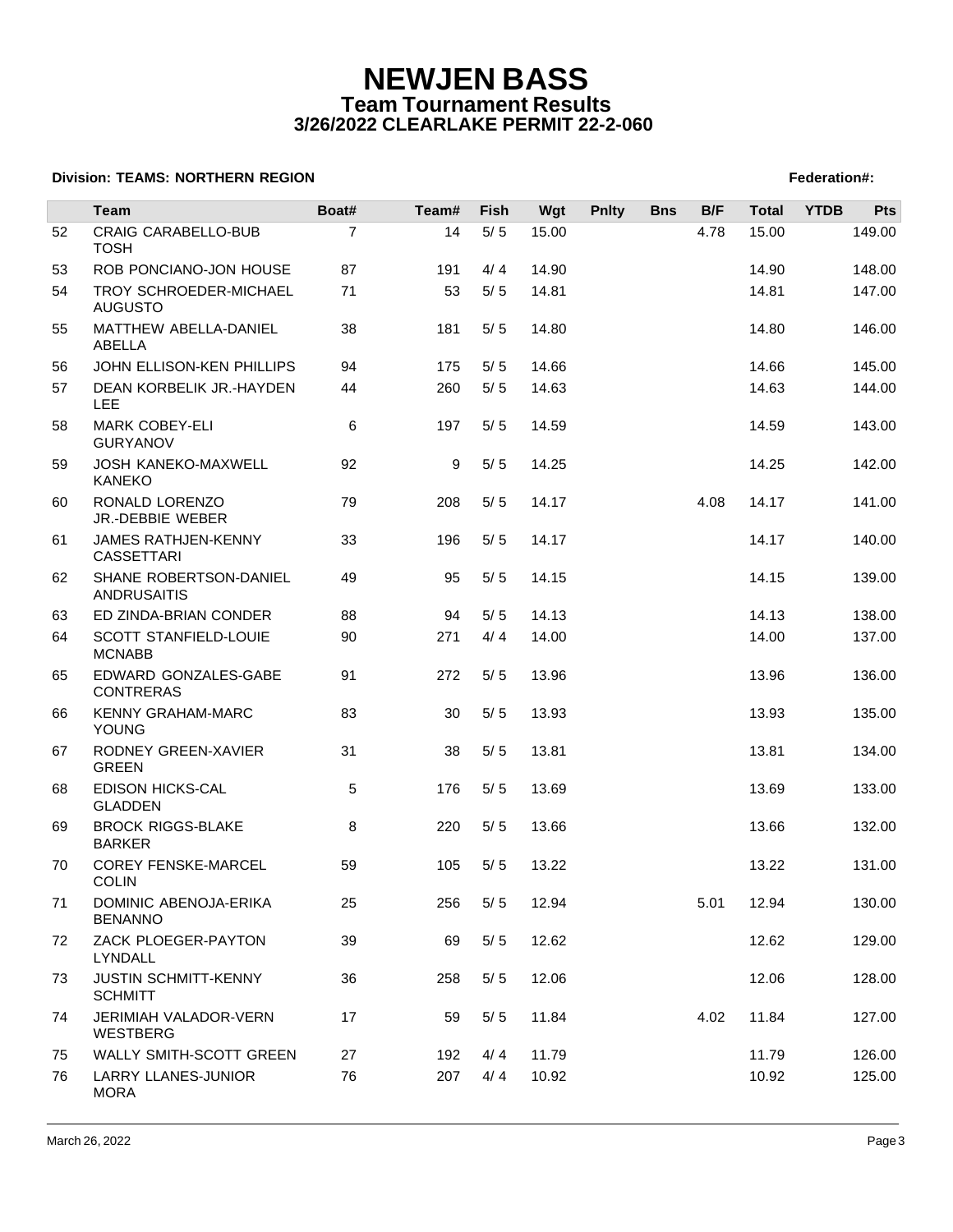|    | Team                                          | Boat#          | Team# | <b>Fish</b> | Wgt   | <b>Pnlty</b> | <b>Bns</b> | B/F  | <b>Total</b> | <b>YTDB</b> | <b>Pts</b> |
|----|-----------------------------------------------|----------------|-------|-------------|-------|--------------|------------|------|--------------|-------------|------------|
| 52 | <b>CRAIG CARABELLO-BUB</b><br><b>TOSH</b>     | $\overline{7}$ | 14    | $5/5$       | 15.00 |              |            | 4.78 | 15.00        |             | 149.00     |
| 53 | ROB PONCIANO-JON HOUSE                        | 87             | 191   | 4/4         | 14.90 |              |            |      | 14.90        |             | 148.00     |
| 54 | TROY SCHROEDER-MICHAEL<br><b>AUGUSTO</b>      | 71             | 53    | 5/5         | 14.81 |              |            |      | 14.81        |             | 147.00     |
| 55 | MATTHEW ABELLA-DANIEL<br>ABELLA               | 38             | 181   | 5/5         | 14.80 |              |            |      | 14.80        |             | 146.00     |
| 56 | JOHN ELLISON-KEN PHILLIPS                     | 94             | 175   | 5/5         | 14.66 |              |            |      | 14.66        |             | 145.00     |
| 57 | DEAN KORBELIK JR.-HAYDEN<br><b>LEE</b>        | 44             | 260   | 5/5         | 14.63 |              |            |      | 14.63        |             | 144.00     |
| 58 | <b>MARK COBEY-ELI</b><br><b>GURYANOV</b>      | 6              | 197   | 5/5         | 14.59 |              |            |      | 14.59        |             | 143.00     |
| 59 | JOSH KANEKO-MAXWELL<br><b>KANEKO</b>          | 92             | 9     | 5/5         | 14.25 |              |            |      | 14.25        |             | 142.00     |
| 60 | RONALD LORENZO<br>JR.-DEBBIE WEBER            | 79             | 208   | 5/5         | 14.17 |              |            | 4.08 | 14.17        |             | 141.00     |
| 61 | JAMES RATHJEN-KENNY<br><b>CASSETTARI</b>      | 33             | 196   | 5/5         | 14.17 |              |            |      | 14.17        |             | 140.00     |
| 62 | SHANE ROBERTSON-DANIEL<br><b>ANDRUSAITIS</b>  | 49             | 95    | 5/5         | 14.15 |              |            |      | 14.15        |             | 139.00     |
| 63 | ED ZINDA-BRIAN CONDER                         | 88             | 94    | 5/5         | 14.13 |              |            |      | 14.13        |             | 138.00     |
| 64 | SCOTT STANFIELD-LOUIE<br><b>MCNABB</b>        | 90             | 271   | 4/4         | 14.00 |              |            |      | 14.00        |             | 137.00     |
| 65 | EDWARD GONZALES-GABE<br><b>CONTRERAS</b>      | 91             | 272   | 5/5         | 13.96 |              |            |      | 13.96        |             | 136.00     |
| 66 | <b>KENNY GRAHAM-MARC</b><br><b>YOUNG</b>      | 83             | 30    | 5/5         | 13.93 |              |            |      | 13.93        |             | 135.00     |
| 67 | RODNEY GREEN-XAVIER<br><b>GREEN</b>           | 31             | 38    | 5/5         | 13.81 |              |            |      | 13.81        |             | 134.00     |
| 68 | <b>EDISON HICKS-CAL</b><br><b>GLADDEN</b>     | 5              | 176   | 5/5         | 13.69 |              |            |      | 13.69        |             | 133.00     |
| 69 | <b>BROCK RIGGS-BLAKE</b><br><b>BARKER</b>     | 8              | 220   | 5/5         | 13.66 |              |            |      | 13.66        |             | 132.00     |
| 70 | <b>COREY FENSKE-MARCEL</b><br><b>COLIN</b>    | 59             | 105   | 5/5         | 13.22 |              |            |      | 13.22        |             | 131.00     |
| 71 | DOMINIC ABENOJA-ERIKA<br><b>BENANNO</b>       | 25             | 256   | 5/5         | 12.94 |              |            | 5.01 | 12.94        |             | 130.00     |
| 72 | ZACK PLOEGER-PAYTON<br>LYNDALL                | 39             | 69    | 5/5         | 12.62 |              |            |      | 12.62        |             | 129.00     |
| 73 | <b>JUSTIN SCHMITT-KENNY</b><br><b>SCHMITT</b> | 36             | 258   | 5/5         | 12.06 |              |            |      | 12.06        |             | 128.00     |
| 74 | JERIMIAH VALADOR-VERN<br>WESTBERG             | 17             | 59    | 5/5         | 11.84 |              |            | 4.02 | 11.84        |             | 127.00     |
| 75 | WALLY SMITH-SCOTT GREEN                       | 27             | 192   | 4/4         | 11.79 |              |            |      | 11.79        |             | 126.00     |
| 76 | LARRY LLANES-JUNIOR<br><b>MORA</b>            | 76             | 207   | 4/4         | 10.92 |              |            |      | 10.92        |             | 125.00     |